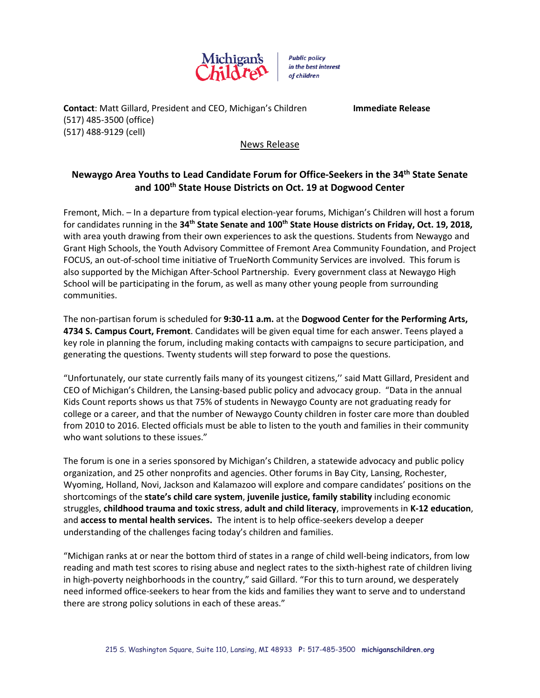

**Public policy** in the best interest of children

**Contact**: Matt Gillard, President and CEO, Michigan's Children **Immediate Release** (517) 485-3500 (office) (517) 488-9129 (cell)

## News Release

## **Newaygo Area Youths to Lead Candidate Forum for Office-Seekers in the 34th State Senate and 100th State House Districts on Oct. 19 at Dogwood Center**

Fremont, Mich. – In a departure from typical election-year forums, Michigan's Children will host a forum for candidates running in the **34th State Senate and 100th State House districts on Friday, Oct. 19, 2018,** with area youth drawing from their own experiences to ask the questions. Students from Newaygo and Grant High Schools, the Youth Advisory Committee of Fremont Area Community Foundation, and Project FOCUS, an out-of-school time initiative of TrueNorth Community Services are involved. This forum is also supported by the Michigan After-School Partnership. Every government class at Newaygo High School will be participating in the forum, as well as many other young people from surrounding communities.

The non-partisan forum is scheduled for **9:30-11 a.m.** at the **Dogwood Center for the Performing Arts, 4734 S. Campus Court, Fremont**. Candidates will be given equal time for each answer. Teens played a key role in planning the forum, including making contacts with campaigns to secure participation, and generating the questions. Twenty students will step forward to pose the questions.

"Unfortunately, our state currently fails many of its youngest citizens,'' said Matt Gillard, President and CEO of Michigan's Children, the Lansing-based public policy and advocacy group. "Data in the annual Kids Count reports shows us that 75% of students in Newaygo County are not graduating ready for college or a career, and that the number of Newaygo County children in foster care more than doubled from 2010 to 2016. Elected officials must be able to listen to the youth and families in their community who want solutions to these issues."

The forum is one in a series sponsored by Michigan's Children, a statewide advocacy and public policy organization, and 25 other nonprofits and agencies. Other forums in Bay City, Lansing, Rochester, Wyoming, Holland, Novi, Jackson and Kalamazoo will explore and compare candidates' positions on the shortcomings of the **state's child care system**, **juvenile justice, family stability** including economic struggles, **childhood trauma and toxic stress**, **adult and child literacy**, improvements in **K-12 education**, and **access to mental health services.** The intent is to help office-seekers develop a deeper understanding of the challenges facing today's children and families.

"Michigan ranks at or near the bottom third of states in a range of child well-being indicators, from low reading and math test scores to rising abuse and neglect rates to the sixth-highest rate of children living in high-poverty neighborhoods in the country," said Gillard. "For this to turn around, we desperately need informed office-seekers to hear from the kids and families they want to serve and to understand there are strong policy solutions in each of these areas."